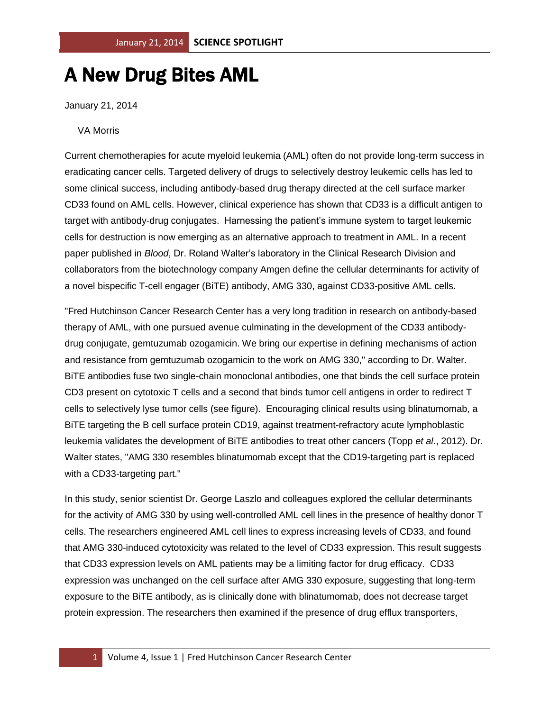## A New Drug Bites AML

January 21, 2014

VA Morris

Current chemotherapies for acute myeloid leukemia (AML) often do not provide long-term success in eradicating cancer cells. Targeted delivery of drugs to selectively destroy leukemic cells has led to some clinical success, including antibody-based drug therapy directed at the cell surface marker CD33 found on AML cells. However, clinical experience has shown that CD33 is a difficult antigen to target with antibody-drug conjugates. Harnessing the patient's immune system to target leukemic cells for destruction is now emerging as an alternative approach to treatment in AML. In a recent paper published in *Blood*, Dr. Roland Walter's laboratory in the Clinical Research Division and collaborators from the biotechnology company Amgen define the cellular determinants for activity of a novel bispecific T-cell engager (BiTE) antibody, AMG 330, against CD33-positive AML cells.

"Fred Hutchinson Cancer Research Center has a very long tradition in research on antibody-based therapy of AML, with one pursued avenue culminating in the development of the CD33 antibodydrug conjugate, gemtuzumab ozogamicin. We bring our expertise in defining mechanisms of action and resistance from gemtuzumab ozogamicin to the work on AMG 330," according to Dr. Walter. BiTE antibodies fuse two single-chain monoclonal antibodies, one that binds the cell surface protein CD3 present on cytotoxic T cells and a second that binds tumor cell antigens in order to redirect T cells to selectively lyse tumor cells (see figure). Encouraging clinical results using blinatumomab, a BiTE targeting the B cell surface protein CD19, against treatment-refractory acute lymphoblastic leukemia validates the development of BiTE antibodies to treat other cancers (Topp *et al*., 2012). Dr. Walter states, "AMG 330 resembles blinatumomab except that the CD19-targeting part is replaced with a CD33-targeting part."

In this study, senior scientist Dr. George Laszlo and colleagues explored the cellular determinants for the activity of AMG 330 by using well-controlled AML cell lines in the presence of healthy donor T cells. The researchers engineered AML cell lines to express increasing levels of CD33, and found that AMG 330-induced cytotoxicity was related to the level of CD33 expression. This result suggests that CD33 expression levels on AML patients may be a limiting factor for drug efficacy. CD33 expression was unchanged on the cell surface after AMG 330 exposure, suggesting that long-term exposure to the BiTE antibody, as is clinically done with blinatumomab, does not decrease target protein expression. The researchers then examined if the presence of drug efflux transporters,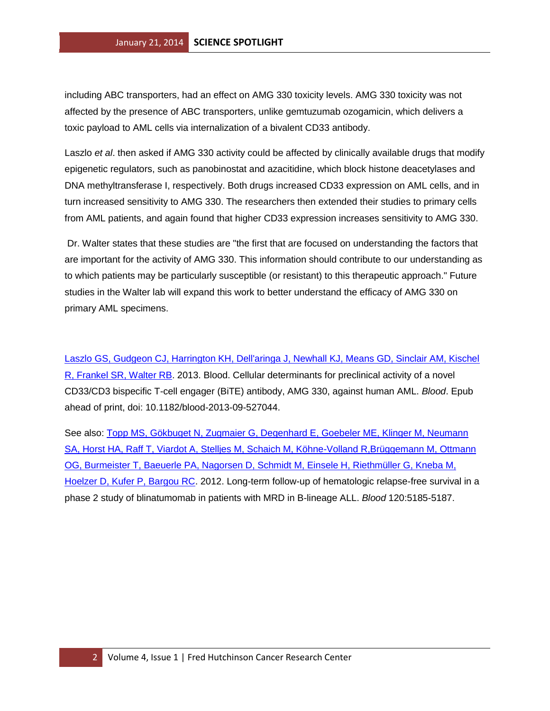including ABC transporters, had an effect on AMG 330 toxicity levels. AMG 330 toxicity was not affected by the presence of ABC transporters, unlike gemtuzumab ozogamicin, which delivers a toxic payload to AML cells via internalization of a bivalent CD33 antibody.

Laszlo *et al*. then asked if AMG 330 activity could be affected by clinically available drugs that modify epigenetic regulators, such as panobinostat and azacitidine, which block histone deacetylases and DNA methyltransferase I, respectively. Both drugs increased CD33 expression on AML cells, and in turn increased sensitivity to AMG 330. The researchers then extended their studies to primary cells from AML patients, and again found that higher CD33 expression increases sensitivity to AMG 330.

Dr. Walter states that these studies are "the first that are focused on understanding the factors that are important for the activity of AMG 330. This information should contribute to our understanding as to which patients may be particularly susceptible (or resistant) to this therapeutic approach." Future studies in the Walter lab will expand this work to better understand the efficacy of AMG 330 on primary AML specimens.

[Laszlo GS, Gudgeon CJ, Harrington KH, Dell'aringa J, Newhall KJ, Means GD, Sinclair AM, Kischel](http://www.ncbi.nlm.nih.gov/pubmed/24311721?otool=fhcrclib)  [R, Frankel SR, Walter RB.](http://www.ncbi.nlm.nih.gov/pubmed/24311721?otool=fhcrclib) 2013. Blood. Cellular determinants for preclinical activity of a novel CD33/CD3 bispecific T-cell engager (BiTE) antibody, AMG 330, against human AML. *Blood*. Epub ahead of print, doi: 10.1182/blood-2013-09-527044.

See also: [Topp MS, Gökbuget N, Zugmaier G, Degenhard E, Goebeler ME, Klinger M, Neumann](http://www.ncbi.nlm.nih.gov/pubmed/23024237?otool=fhcrclibhttp://www.ncbi.nlm.nih.gov/pubmed/23024237?otool=fhcrclib)  [SA, Horst HA, Raff T, Viardot A, Stelljes M, Schaich M, Köhne-Volland R,Brüggemann M, Ottmann](http://www.ncbi.nlm.nih.gov/pubmed/23024237?otool=fhcrclibhttp://www.ncbi.nlm.nih.gov/pubmed/23024237?otool=fhcrclib)  [OG, Burmeister T, Baeuerle PA, Nagorsen D, Schmidt](http://www.ncbi.nlm.nih.gov/pubmed/23024237?otool=fhcrclibhttp://www.ncbi.nlm.nih.gov/pubmed/23024237?otool=fhcrclib) M, Einsele H, Riethmüller G, Kneba M, [Hoelzer D, Kufer P, Bargou RC.](http://www.ncbi.nlm.nih.gov/pubmed/23024237?otool=fhcrclibhttp://www.ncbi.nlm.nih.gov/pubmed/23024237?otool=fhcrclib) 2012. Long-term follow-up of hematologic relapse-free survival in a phase 2 study of blinatumomab in patients with MRD in B-lineage ALL. *Blood* 120:5185-5187.